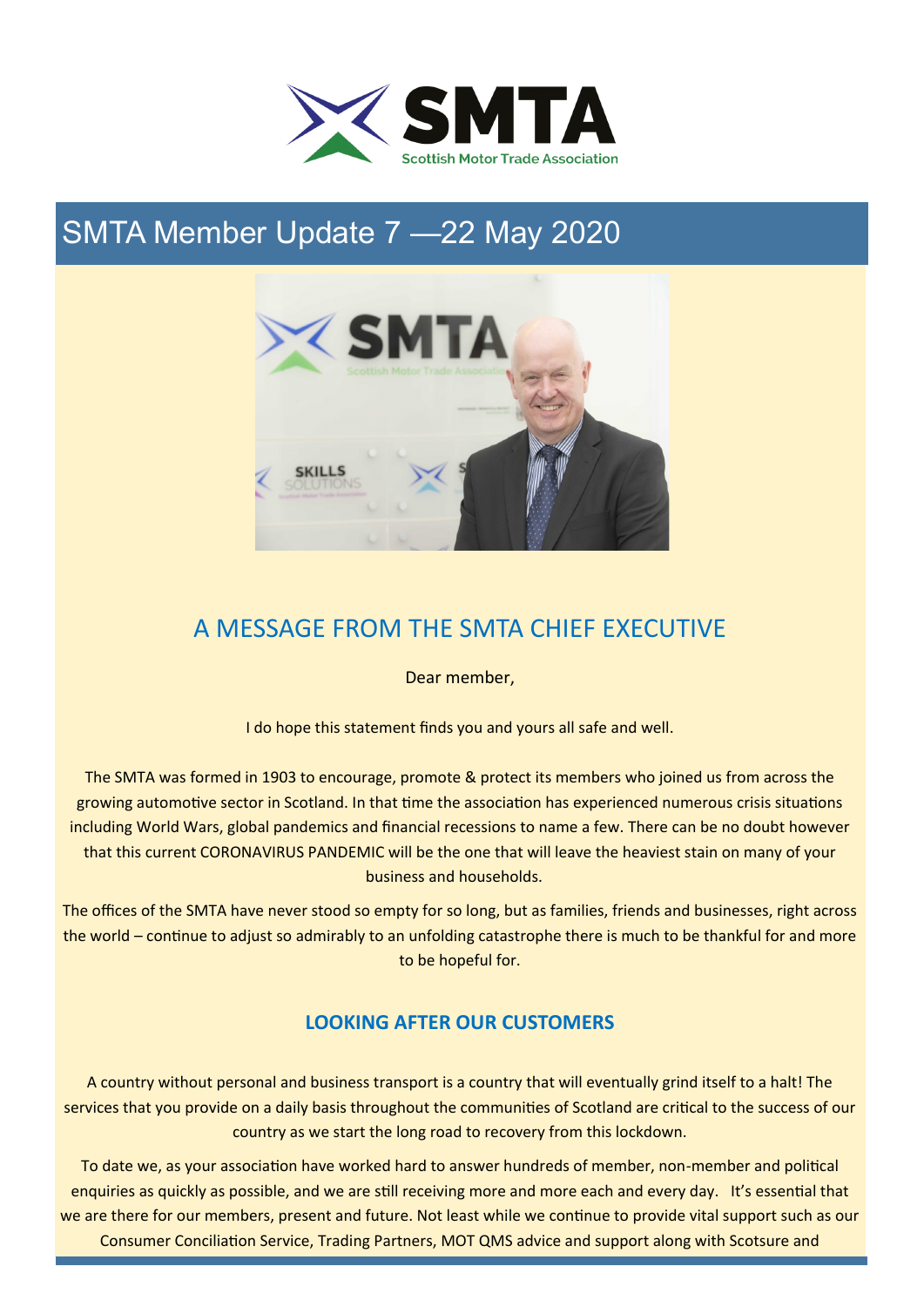

# SMTA Member Update 7 —22 May 2020



# A MESSAGE FROM THE SMTA CHIEF EXECUTIVE

Dear member,

I do hope this statement finds you and yours all safe and well.

The SMTA was formed in 1903 to encourage, promote & protect its members who joined us from across the growing automotive sector in Scotland. In that time the association has experienced numerous crisis situations including World Wars, global pandemics and financial recessions to name a few. There can be no doubt however that this current CORONAVIRUS PANDEMIC will be the one that will leave the heaviest stain on many of your business and households.

The offices of the SMTA have never stood so empty for so long, but as families, friends and businesses, right across the world – continue to adjust so admirably to an unfolding catastrophe there is much to be thankful for and more to be hopeful for.

## **LOOKING AFTER OUR CUSTOMERS**

A country without personal and business transport is a country that will eventually grind itself to a halt! The services that you provide on a daily basis throughout the communities of Scotland are critical to the success of our country as we start the long road to recovery from this lockdown.

To date we, as your association have worked hard to answer hundreds of member, non-member and political enquiries as quickly as possible, and we are still receiving more and more each and every day. It's essential that we are there for our members, present and future. Not least while we continue to provide vital support such as our Consumer Conciliation Service, Trading Partners, MOT QMS advice and support along with Scotsure and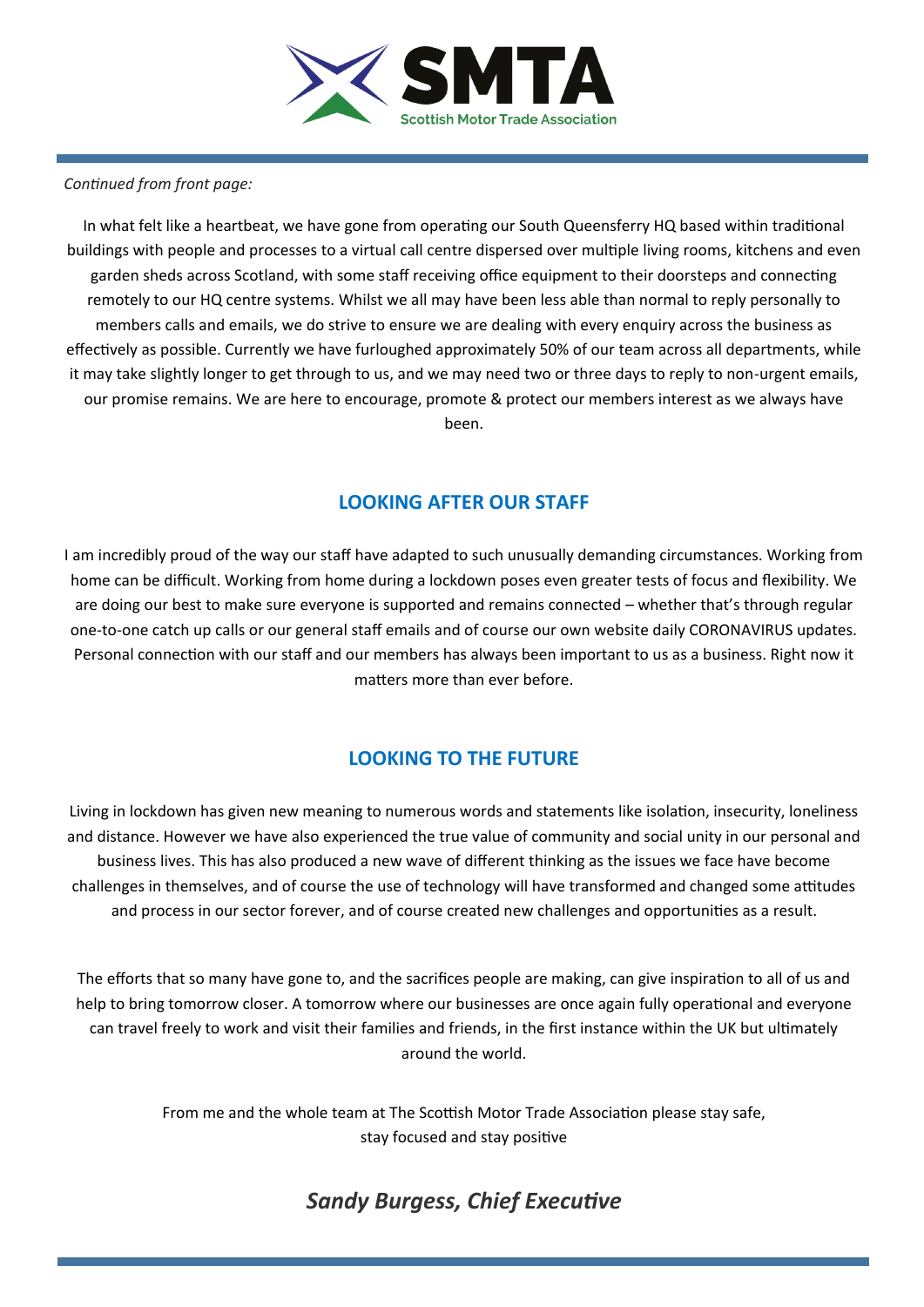

#### *Continued from front page:*

In what felt like a heartbeat, we have gone from operating our South Queensferry HQ based within traditional buildings with people and processes to a virtual call centre dispersed over multiple living rooms, kitchens and even garden sheds across Scotland, with some staff receiving office equipment to their doorsteps and connecting remotely to our HQ centre systems. Whilst we all may have been less able than normal to reply personally to members calls and emails, we do strive to ensure we are dealing with every enquiry across the business as effectively as possible. Currently we have furloughed approximately 50% of our team across all departments, while it may take slightly longer to get through to us, and we may need two or three days to reply to non-urgent emails, our promise remains. We are here to encourage, promote & protect our members interest as we always have been.

## **LOOKING AFTER OUR STAFF**

I am incredibly proud of the way our staff have adapted to such unusually demanding circumstances. Working from home can be difficult. Working from home during a lockdown poses even greater tests of focus and flexibility. We are doing our best to make sure everyone is supported and remains connected – whether that's through regular one-to-one catch up calls or our general staff emails and of course our own website daily CORONAVIRUS updates. Personal connection with our staff and our members has always been important to us as a business. Right now it matters more than ever before.

## **LOOKING TO THE FUTURE**

Living in lockdown has given new meaning to numerous words and statements like isolation, insecurity, loneliness and distance. However we have also experienced the true value of community and social unity in our personal and business lives. This has also produced a new wave of different thinking as the issues we face have become challenges in themselves, and of course the use of technology will have transformed and changed some attitudes and process in our sector forever, and of course created new challenges and opportunities as a result.

The efforts that so many have gone to, and the sacrifices people are making, can give inspiration to all of us and help to bring tomorrow closer. A tomorrow where our businesses are once again fully operational and everyone can travel freely to work and visit their families and friends, in the first instance within the UK but ultimately around the world.

> From me and the whole team at The Scottish Motor Trade Association please stay safe, stay focused and stay positive

## *Sandy Burgess, Chief Executive*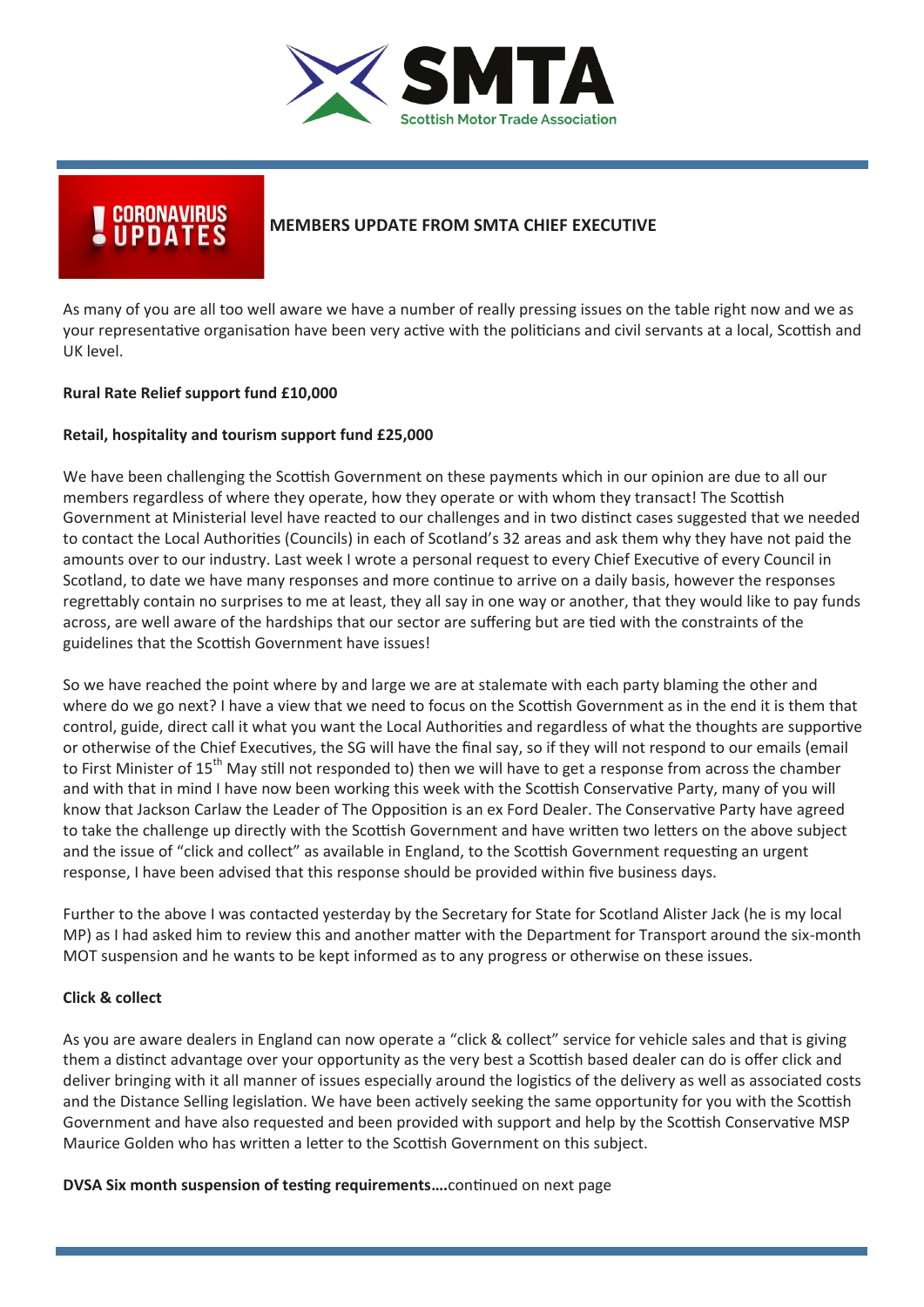

## UPDATES **MEMBERS UPDATE FROM SMTA CHIEF EXECUTIVE**

As many of you are all too well aware we have a number of really pressing issues on the table right now and we as your representative organisation have been very active with the politicians and civil servants at a local, Scottish and UK level.

#### **Rural Rate Relief support fund £10,000**

#### **Retail, hospitality and tourism support fund £25,000**

We have been challenging the Scottish Government on these payments which in our opinion are due to all our members regardless of where they operate, how they operate or with whom they transact! The Scottish Government at Ministerial level have reacted to our challenges and in two distinct cases suggested that we needed to contact the Local Authorities (Councils) in each of Scotland's 32 areas and ask them why they have not paid the amounts over to our industry. Last week I wrote a personal request to every Chief Executive of every Council in Scotland, to date we have many responses and more continue to arrive on a daily basis, however the responses regrettably contain no surprises to me at least, they all say in one way or another, that they would like to pay funds across, are well aware of the hardships that our sector are suffering but are tied with the constraints of the guidelines that the Scottish Government have issues!

So we have reached the point where by and large we are at stalemate with each party blaming the other and where do we go next? I have a view that we need to focus on the Scottish Government as in the end it is them that control, guide, direct call it what you want the Local Authorities and regardless of what the thoughts are supportive or otherwise of the Chief Executives, the SG will have the final say, so if they will not respond to our emails (email to First Minister of 15<sup>th</sup> May still not responded to) then we will have to get a response from across the chamber and with that in mind I have now been working this week with the Scottish Conservative Party, many of you will know that Jackson Carlaw the Leader of The Opposition is an ex Ford Dealer. The Conservative Party have agreed to take the challenge up directly with the Scottish Government and have written two letters on the above subject and the issue of "click and collect" as available in England, to the Scottish Government requesting an urgent response, I have been advised that this response should be provided within five business days.

Further to the above I was contacted yesterday by the Secretary for State for Scotland Alister Jack (he is my local MP) as I had asked him to review this and another matter with the Department for Transport around the six-month MOT suspension and he wants to be kept informed as to any progress or otherwise on these issues.

#### **Click & collect**

As you are aware dealers in England can now operate a "click & collect" service for vehicle sales and that is giving them a distinct advantage over your opportunity as the very best a Scottish based dealer can do is offer click and deliver bringing with it all manner of issues especially around the logistics of the delivery as well as associated costs and the Distance Selling legislation. We have been actively seeking the same opportunity for you with the Scottish Government and have also requested and been provided with support and help by the Scottish Conservative MSP Maurice Golden who has written a letter to the Scottish Government on this subject.

**DVSA Six month suspension of testing requirements….**continued on next page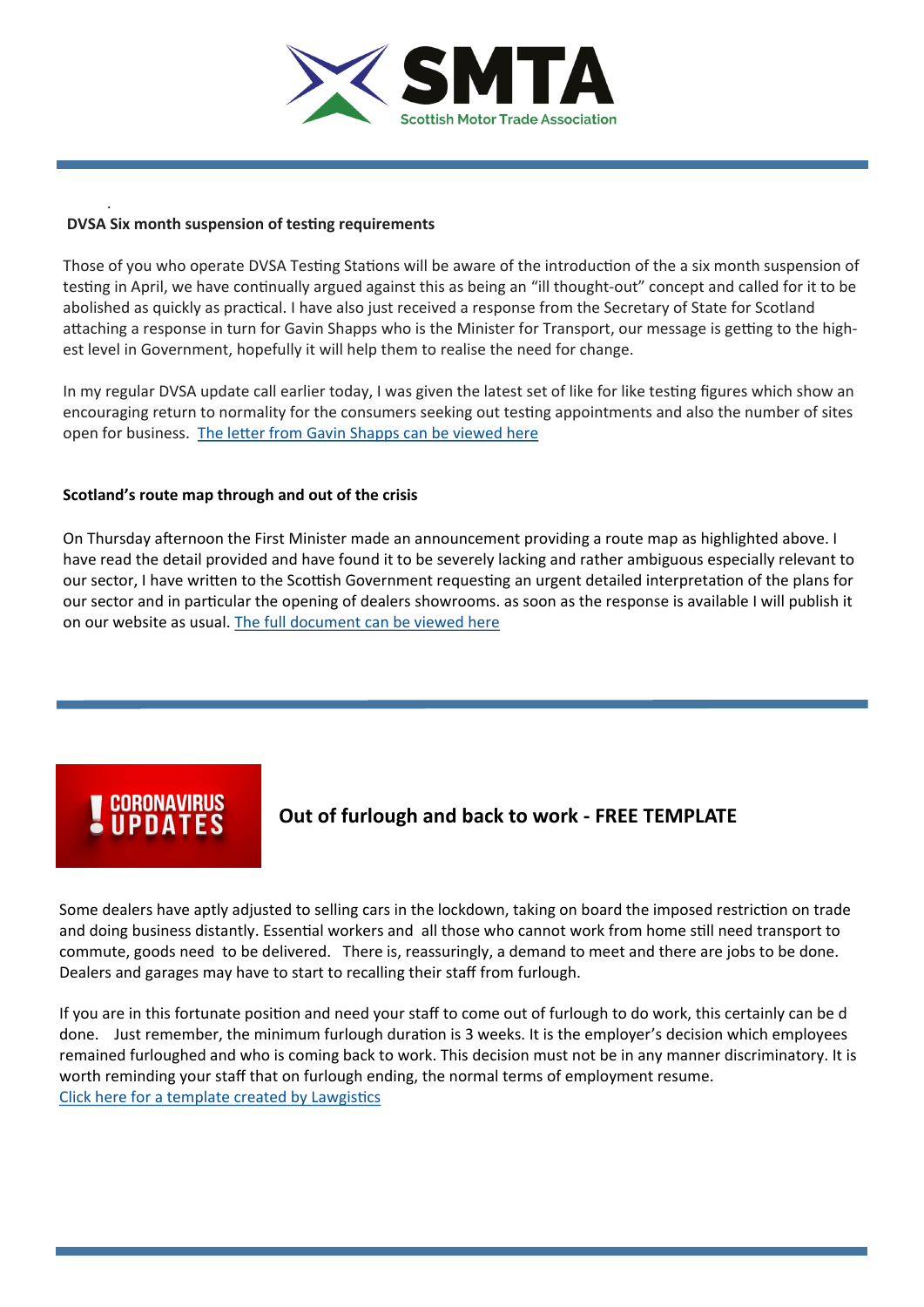

#### **DVSA Six month suspension of testing requirements**

.

Those of you who operate DVSA Testing Stations will be aware of the introduction of the a six month suspension of testing in April, we have continually argued against this as being an "ill thought-out" concept and called for it to be abolished as quickly as practical. I have also just received a response from the Secretary of State for Scotland attaching a response in turn for Gavin Shapps who is the Minister for Transport, our message is getting to the highest level in Government, hopefully it will help them to realise the need for change.

In my regular DVSA update call earlier today, I was given the latest set of like for like testing figures which show an encouraging return to normality for the consumers seeking out testing appointments and also the number of sites open for business. The letter from Gavin Shapps can be viewed here

#### **Scotland's route map through and out of the crisis**

On Thursday afternoon the First Minister made an announcement providing a route map as highlighted above. I have read the detail provided and have found it to be severely lacking and rather ambiguous especially relevant to our sector, I have written to the Scottish Government requesting an urgent detailed interpretation of the plans for our sector and in particular the opening of dealers showrooms. as soon as the response is available I will publish it on our website as usual. [The full document can be viewed here](file:///C:/Users/karen/Documents/Downloads/486806_SCT0520618432-001_Routemap p5 (002).pdf)

# **CORONAVIRUS<br>UPDATES**

**Out of furlough and back to work - FREE TEMPLATE**

Some dealers have aptly adjusted to selling cars in the lockdown, taking on board the imposed restriction on trade and doing business distantly. Essential workers and all those who cannot work from home still need transport to commute, goods need to be delivered. There is, reassuringly, a demand to meet and there are jobs to be done. Dealers and garages may have to start to recalling their staff from furlough.

If you are in this fortunate position and need your staff to come out of furlough to do work, this certainly can be d done. Just remember, the minimum furlough duration is 3 weeks. It is the employer's decision which employees remained furloughed and who is coming back to work. This decision must not be in any manner discriminatory. It is worth reminding your staff that on furlough ending, the normal terms of employment resume. [Click here for a template created by Lawgistics](http://www.lawgistics.co.uk/media/documents/Notice%20of%20Furlough%20Termination.pdf)